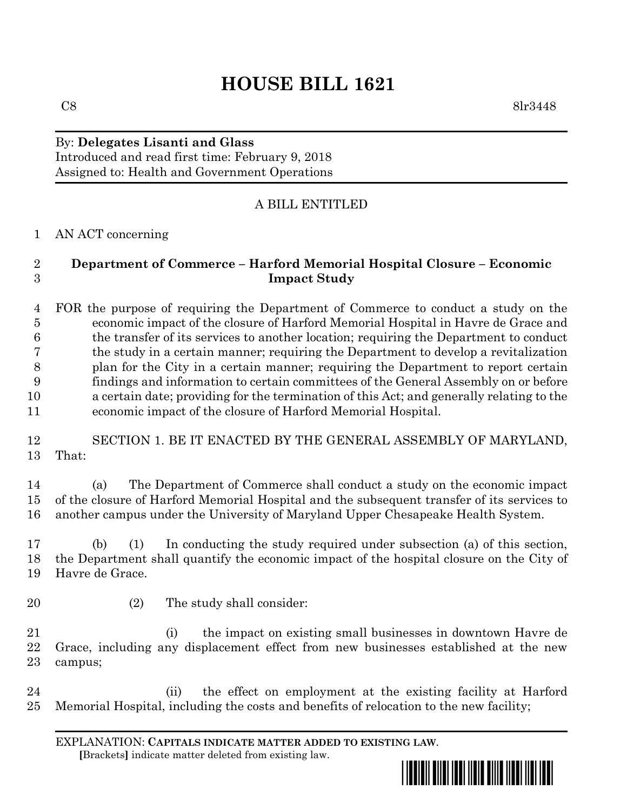# **HOUSE BILL 1621**

## By: **Delegates Lisanti and Glass**

Introduced and read first time: February 9, 2018 Assigned to: Health and Government Operations

### A BILL ENTITLED

#### AN ACT concerning

#### **Department of Commerce – Harford Memorial Hospital Closure – Economic Impact Study**

 FOR the purpose of requiring the Department of Commerce to conduct a study on the economic impact of the closure of Harford Memorial Hospital in Havre de Grace and the transfer of its services to another location; requiring the Department to conduct the study in a certain manner; requiring the Department to develop a revitalization plan for the City in a certain manner; requiring the Department to report certain findings and information to certain committees of the General Assembly on or before a certain date; providing for the termination of this Act; and generally relating to the economic impact of the closure of Harford Memorial Hospital.

 SECTION 1. BE IT ENACTED BY THE GENERAL ASSEMBLY OF MARYLAND, That:

 (a) The Department of Commerce shall conduct a study on the economic impact of the closure of Harford Memorial Hospital and the subsequent transfer of its services to another campus under the University of Maryland Upper Chesapeake Health System.

 (b) (1) In conducting the study required under subsection (a) of this section, the Department shall quantify the economic impact of the hospital closure on the City of Havre de Grace.

- 
- (2) The study shall consider:

 (i) the impact on existing small businesses in downtown Havre de Grace, including any displacement effect from new businesses established at the new campus;

 (ii) the effect on employment at the existing facility at Harford Memorial Hospital, including the costs and benefits of relocation to the new facility;

EXPLANATION: **CAPITALS INDICATE MATTER ADDED TO EXISTING LAW**.  **[**Brackets**]** indicate matter deleted from existing law.